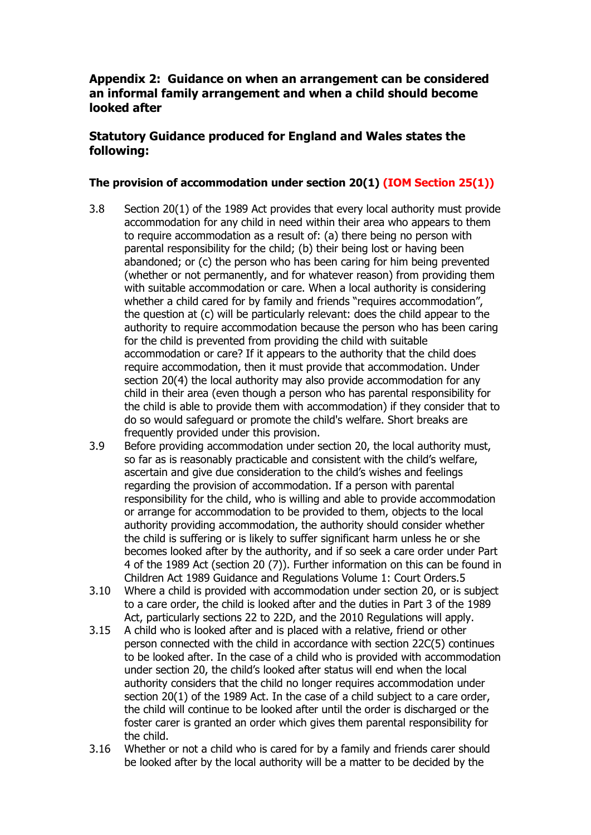# **Appendix 2: Guidance on when an arrangement can be considered an informal family arrangement and when a child should become looked after**

# **Statutory Guidance produced for England and Wales states the following:**

## **The provision of accommodation under section 20(1) (IOM Section 25(1))**

- 3.8 Section 20(1) of the 1989 Act provides that every local authority must provide accommodation for any child in need within their area who appears to them to require accommodation as a result of: (a) there being no person with parental responsibility for the child; (b) their being lost or having been abandoned; or (c) the person who has been caring for him being prevented (whether or not permanently, and for whatever reason) from providing them with suitable accommodation or care. When a local authority is considering whether a child cared for by family and friends "requires accommodation", the question at (c) will be particularly relevant: does the child appear to the authority to require accommodation because the person who has been caring for the child is prevented from providing the child with suitable accommodation or care? If it appears to the authority that the child does require accommodation, then it must provide that accommodation. Under section 20(4) the local authority may also provide accommodation for any child in their area (even though a person who has parental responsibility for the child is able to provide them with accommodation) if they consider that to do so would safeguard or promote the child's welfare. Short breaks are frequently provided under this provision.
- 3.9 Before providing accommodation under section 20, the local authority must, so far as is reasonably practicable and consistent with the child's welfare, ascertain and give due consideration to the child's wishes and feelings regarding the provision of accommodation. If a person with parental responsibility for the child, who is willing and able to provide accommodation or arrange for accommodation to be provided to them, objects to the local authority providing accommodation, the authority should consider whether the child is suffering or is likely to suffer significant harm unless he or she becomes looked after by the authority, and if so seek a care order under Part 4 of the 1989 Act (section 20 (7)). Further information on this can be found in Children Act 1989 Guidance and Regulations Volume 1: Court Orders.5
- 3.10 Where a child is provided with accommodation under section 20, or is subject to a care order, the child is looked after and the duties in Part 3 of the 1989 Act, particularly sections 22 to 22D, and the 2010 Regulations will apply.
- 3.15 A child who is looked after and is placed with a relative, friend or other person connected with the child in accordance with section 22C(5) continues to be looked after. In the case of a child who is provided with accommodation under section 20, the child's looked after status will end when the local authority considers that the child no longer requires accommodation under section 20(1) of the 1989 Act. In the case of a child subject to a care order, the child will continue to be looked after until the order is discharged or the foster carer is granted an order which gives them parental responsibility for the child.
- 3.16 Whether or not a child who is cared for by a family and friends carer should be looked after by the local authority will be a matter to be decided by the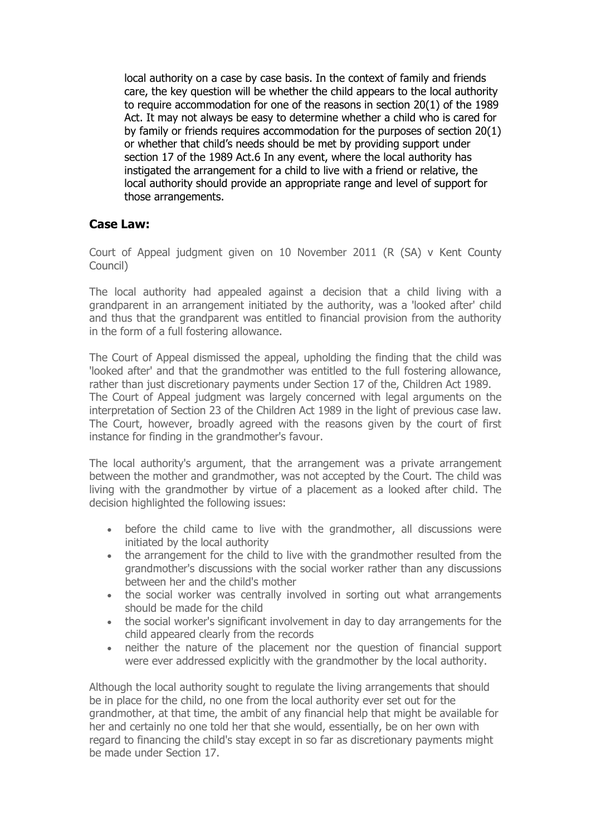local authority on a case by case basis. In the context of family and friends care, the key question will be whether the child appears to the local authority to require accommodation for one of the reasons in section 20(1) of the 1989 Act. It may not always be easy to determine whether a child who is cared for by family or friends requires accommodation for the purposes of section 20(1) or whether that child's needs should be met by providing support under section 17 of the 1989 Act.6 In any event, where the local authority has instigated the arrangement for a child to live with a friend or relative, the local authority should provide an appropriate range and level of support for those arrangements.

## **Case Law:**

Court of Appeal judgment given on 10 November 2011 (R (SA) v Kent County Council)

The local authority had appealed against a decision that a child living with a grandparent in an arrangement initiated by the authority, was a 'looked after' child and thus that the grandparent was entitled to financial provision from the authority in the form of a full fostering allowance.

The Court of Appeal dismissed the appeal, upholding the finding that the child was 'looked after' and that the grandmother was entitled to the full fostering allowance, rather than just discretionary payments under Section 17 of the, Children Act 1989. The Court of Appeal judgment was largely concerned with legal arguments on the interpretation of Section 23 of the Children Act 1989 in the light of previous case law. The Court, however, broadly agreed with the reasons given by the court of first instance for finding in the grandmother's favour.

The local authority's argument, that the arrangement was a private arrangement between the mother and grandmother, was not accepted by the Court. The child was living with the grandmother by virtue of a placement as a looked after child. The decision highlighted the following issues:

- before the child came to live with the grandmother, all discussions were initiated by the local authority
- the arrangement for the child to live with the grandmother resulted from the grandmother's discussions with the social worker rather than any discussions between her and the child's mother
- the social worker was centrally involved in sorting out what arrangements should be made for the child
- the social worker's significant involvement in day to day arrangements for the child appeared clearly from the records
- neither the nature of the placement nor the question of financial support were ever addressed explicitly with the grandmother by the local authority.

Although the local authority sought to regulate the living arrangements that should be in place for the child, no one from the local authority ever set out for the grandmother, at that time, the ambit of any financial help that might be available for her and certainly no one told her that she would, essentially, be on her own with regard to financing the child's stay except in so far as discretionary payments might be made under Section 17.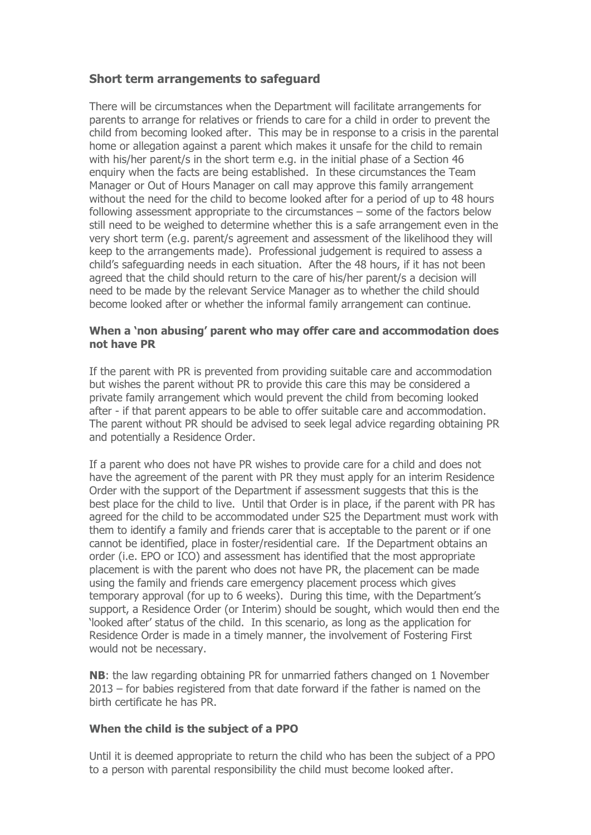## **Short term arrangements to safeguard**

There will be circumstances when the Department will facilitate arrangements for parents to arrange for relatives or friends to care for a child in order to prevent the child from becoming looked after. This may be in response to a crisis in the parental home or allegation against a parent which makes it unsafe for the child to remain with his/her parent/s in the short term e.g. in the initial phase of a Section 46 enquiry when the facts are being established. In these circumstances the Team Manager or Out of Hours Manager on call may approve this family arrangement without the need for the child to become looked after for a period of up to 48 hours following assessment appropriate to the circumstances – some of the factors below still need to be weighed to determine whether this is a safe arrangement even in the very short term (e.g. parent/s agreement and assessment of the likelihood they will keep to the arrangements made). Professional judgement is required to assess a child's safeguarding needs in each situation. After the 48 hours, if it has not been agreed that the child should return to the care of his/her parent/s a decision will need to be made by the relevant Service Manager as to whether the child should become looked after or whether the informal family arrangement can continue.

### **When a 'non abusing' parent who may offer care and accommodation does not have PR**

If the parent with PR is prevented from providing suitable care and accommodation but wishes the parent without PR to provide this care this may be considered a private family arrangement which would prevent the child from becoming looked after - if that parent appears to be able to offer suitable care and accommodation. The parent without PR should be advised to seek legal advice regarding obtaining PR and potentially a Residence Order.

If a parent who does not have PR wishes to provide care for a child and does not have the agreement of the parent with PR they must apply for an interim Residence Order with the support of the Department if assessment suggests that this is the best place for the child to live. Until that Order is in place, if the parent with PR has agreed for the child to be accommodated under S25 the Department must work with them to identify a family and friends carer that is acceptable to the parent or if one cannot be identified, place in foster/residential care. If the Department obtains an order (i.e. EPO or ICO) and assessment has identified that the most appropriate placement is with the parent who does not have PR, the placement can be made using the family and friends care emergency placement process which gives temporary approval (for up to 6 weeks). During this time, with the Department's support, a Residence Order (or Interim) should be sought, which would then end the 'looked after' status of the child. In this scenario, as long as the application for Residence Order is made in a timely manner, the involvement of Fostering First would not be necessary.

**NB**: the law regarding obtaining PR for unmarried fathers changed on 1 November 2013 – for babies registered from that date forward if the father is named on the birth certificate he has PR.

### **When the child is the subject of a PPO**

Until it is deemed appropriate to return the child who has been the subject of a PPO to a person with parental responsibility the child must become looked after.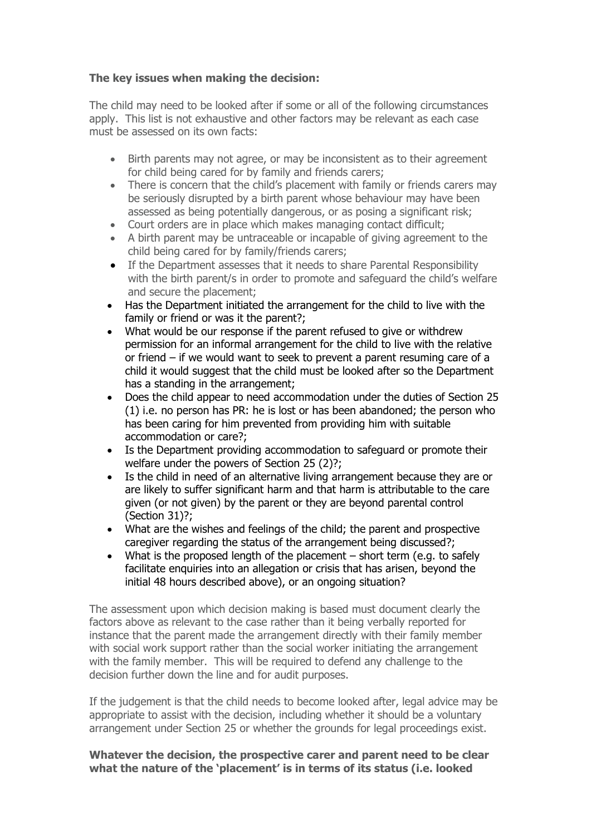## **The key issues when making the decision:**

The child may need to be looked after if some or all of the following circumstances apply. This list is not exhaustive and other factors may be relevant as each case must be assessed on its own facts:

- Birth parents may not agree, or may be inconsistent as to their agreement for child being cared for by family and friends carers;
- There is concern that the child's placement with family or friends carers may be seriously disrupted by a birth parent whose behaviour may have been assessed as being potentially dangerous, or as posing a significant risk;
- Court orders are in place which makes managing contact difficult;
- A birth parent may be untraceable or incapable of giving agreement to the child being cared for by family/friends carers;
- If the Department assesses that it needs to share Parental Responsibility with the birth parent/s in order to promote and safeguard the child's welfare and secure the placement;
- Has the Department initiated the arrangement for the child to live with the family or friend or was it the parent?;
- What would be our response if the parent refused to give or withdrew permission for an informal arrangement for the child to live with the relative or friend – if we would want to seek to prevent a parent resuming care of a child it would suggest that the child must be looked after so the Department has a standing in the arrangement;
- Does the child appear to need accommodation under the duties of Section 25 (1) i.e. no person has PR: he is lost or has been abandoned; the person who has been caring for him prevented from providing him with suitable accommodation or care?;
- Is the Department providing accommodation to safeguard or promote their welfare under the powers of Section 25 (2)?;
- Is the child in need of an alternative living arrangement because they are or are likely to suffer significant harm and that harm is attributable to the care given (or not given) by the parent or they are beyond parental control (Section 31)?;
- What are the wishes and feelings of the child; the parent and prospective caregiver regarding the status of the arrangement being discussed?;
- What is the proposed length of the placement short term (e.g. to safely facilitate enquiries into an allegation or crisis that has arisen, beyond the initial 48 hours described above), or an ongoing situation?

The assessment upon which decision making is based must document clearly the factors above as relevant to the case rather than it being verbally reported for instance that the parent made the arrangement directly with their family member with social work support rather than the social worker initiating the arrangement with the family member. This will be required to defend any challenge to the decision further down the line and for audit purposes.

If the judgement is that the child needs to become looked after, legal advice may be appropriate to assist with the decision, including whether it should be a voluntary arrangement under Section 25 or whether the grounds for legal proceedings exist.

## **Whatever the decision, the prospective carer and parent need to be clear what the nature of the 'placement' is in terms of its status (i.e. looked**